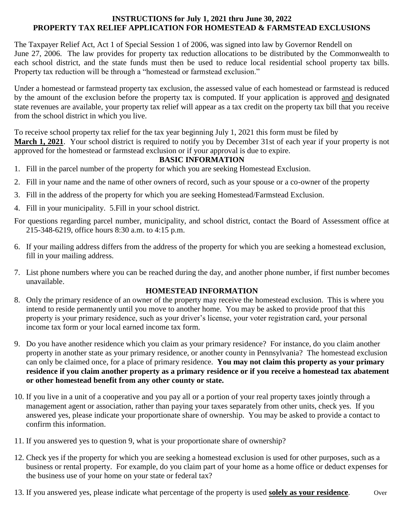#### **INSTRUCTIONS for July 1, 2021 thru June 30, 2022 PROPERTY TAX RELIEF APPLICATION FOR HOMESTEAD & FARMSTEAD EXCLUSIONS**

The Taxpayer Relief Act, Act 1 of Special Session 1 of 2006, was signed into law by Governor Rendell on June 27, 2006. The law provides for property tax reduction allocations to be distributed by the Commonwealth to each school district, and the state funds must then be used to reduce local residential school property tax bills. Property tax reduction will be through a "homestead or farmstead exclusion."

Under a homestead or farmstead property tax exclusion, the assessed value of each homestead or farmstead is reduced by the amount of the exclusion before the property tax is computed. If your application is approved and designated state revenues are available, your property tax relief will appear as a tax credit on the property tax bill that you receive from the school district in which you live.

To receive school property tax relief for the tax year beginning July 1, 2021 this form must be filed by **March 1, 2021**. Your school district is required to notify you by December 31st of each year if your property is not approved for the homestead or farmstead exclusion or if your approval is due to expire.

#### **BASIC INFORMATION**

- 1. Fill in the parcel number of the property for which you are seeking Homestead Exclusion.
- 2. Fill in your name and the name of other owners of record, such as your spouse or a co-owner of the property
- 3. Fill in the address of the property for which you are seeking Homestead/Farmstead Exclusion.
- 4. Fill in your municipality. 5.Fill in your school district.
- For questions regarding parcel number, municipality, and school district, contact the Board of Assessment office at 215-348-6219, office hours 8:30 a.m. to 4:15 p.m.
- 6. If your mailing address differs from the address of the property for which you are seeking a homestead exclusion, fill in your mailing address.
- 7. List phone numbers where you can be reached during the day, and another phone number, if first number becomes unavailable.

#### **HOMESTEAD INFORMATION**

- 8. Only the primary residence of an owner of the property may receive the homestead exclusion. This is where you intend to reside permanently until you move to another home. You may be asked to provide proof that this property is your primary residence, such as your driver's license, your voter registration card, your personal income tax form or your local earned income tax form.
- 9. Do you have another residence which you claim as your primary residence? For instance, do you claim another property in another state as your primary residence, or another county in Pennsylvania? The homestead exclusion can only be claimed once, for a place of primary residence. **You may not claim this property as your primary residence if you claim another property as a primary residence or if you receive a homestead tax abatement or other homestead benefit from any other county or state.**
- 10. If you live in a unit of a cooperative and you pay all or a portion of your real property taxes jointly through a management agent or association, rather than paying your taxes separately from other units, check yes. If you answered yes, please indicate your proportionate share of ownership. You may be asked to provide a contact to confirm this information.
- 11. If you answered yes to question 9, what is your proportionate share of ownership?
- 12. Check yes if the property for which you are seeking a homestead exclusion is used for other purposes, such as a business or rental property. For example, do you claim part of your home as a home office or deduct expenses for the business use of your home on your state or federal tax?
- 13. If you answered yes, please indicate what percentage of the property is used **solely as your residence**. Over